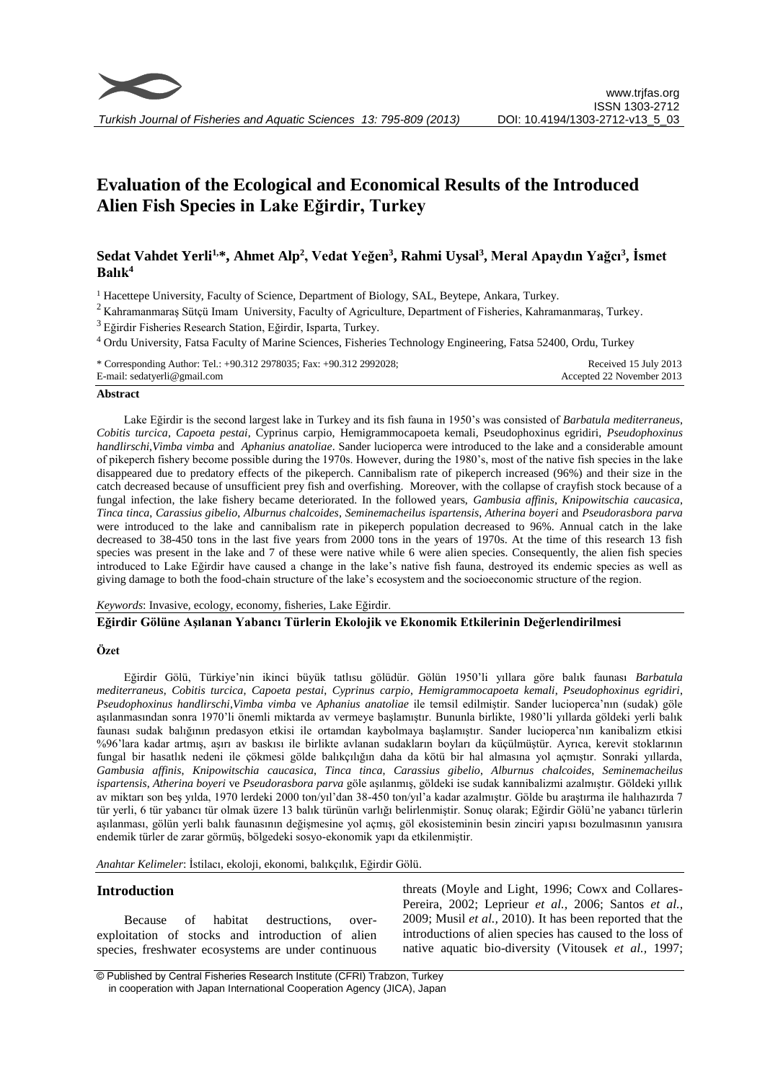

# **Evaluation of the Ecological and Economical Results of the Introduced Alien Fish Species in Lake Eğirdir, Turkey**

# **Sedat Vahdet Yerli1,\*, Ahmet Alp<sup>2</sup> , Vedat Yeğen<sup>3</sup> , Rahmi Uysal<sup>3</sup> , Meral Apaydın Yağcı<sup>3</sup> , İsmet Balık<sup>4</sup>**

<sup>1</sup> Hacettepe University, Faculty of Science, Department of Biology, SAL, Beytepe, Ankara, Turkey.

<sup>2</sup> Kahramanmaraş Sütçü Imam University, Faculty of Agriculture, Department of Fisheries, Kahramanmaraş, Turkey.

<sup>3</sup>Eğirdir Fisheries Research Station, Eğirdir, Isparta, Turkey.

<sup>4</sup> Ordu University, Fatsa Faculty of Marine Sciences, Fisheries Technology Engineering, Fatsa 52400, Ordu, Turkey

| * Corresponding Author: Tel.: +90.312 2978035; Fax: +90.312 2992028; | Received 15 July 2013     |
|----------------------------------------------------------------------|---------------------------|
| E-mail: sedatyerli@gmail.com                                         | Accepted 22 November 2013 |

#### **Abstract**

Lake Eğirdir is the second largest lake in Turkey and its fish fauna in 1950's was consisted of *Barbatula mediterraneus*, *Cobitis turcica*, *Capoeta pestai*, Cyprinus carpio, Hemigrammocapoeta kemali, Pseudophoxinus egridiri, *Pseudophoxinus handlirschi*,*Vimba vimba* and *Aphanius anatoliae*. Sander lucioperca were introduced to the lake and a considerable amount of pikeperch fishery become possible during the 1970s. However, during the 1980's, most of the native fish species in the lake disappeared due to predatory effects of the pikeperch. Cannibalism rate of pikeperch increased (96%) and their size in the catch decreased because of unsufficient prey fish and overfishing. Moreover, with the collapse of crayfish stock because of a fungal infection, the lake fishery became deteriorated. In the followed years, *Gambusia affinis*, *Knipowitschia caucasica*, *Tinca tinca*, *Carassius gibelio*, *Alburnus chalcoides*, *Seminemacheilus ispartensis*, *Atherina boyeri* and *Pseudorasbora parva* were introduced to the lake and cannibalism rate in pikeperch population decreased to 96%. Annual catch in the lake decreased to 38-450 tons in the last five years from 2000 tons in the years of 1970s. At the time of this research 13 fish species was present in the lake and 7 of these were native while 6 were alien species. Consequently, the alien fish species introduced to Lake Eğirdir have caused a change in the lake's native fish fauna, destroyed its endemic species as well as giving damage to both the food-chain structure of the lake's ecosystem and the socioeconomic structure of the region.

*Keywords*: Invasive, ecology, economy, fisheries, Lake Eğirdir.

#### **Eğirdir Gölüne Aşılanan Yabancı Türlerin Ekolojik ve Ekonomik Etkilerinin Değerlendirilmesi**

#### **Özet**

Eğirdir Gölü, Türkiye'nin ikinci büyük tatlısu gölüdür. Gölün 1950'li yıllara göre balık faunası *Barbatula mediterraneus*, *Cobitis turcica*, *Capoeta pestai*, *Cyprinus carpio*, *Hemigrammocapoeta kemali*, *Pseudophoxinus egridiri*, *Pseudophoxinus handlirschi*,*Vimba vimba* ve *Aphanius anatoliae* ile temsil edilmiştir. Sander lucioperca'nın (sudak) göle aşılanmasından sonra 1970'li önemli miktarda av vermeye başlamıştır. Bununla birlikte, 1980'li yıllarda göldeki yerli balık faunası sudak balığının predasyon etkisi ile ortamdan kaybolmaya başlamıştır. Sander lucioperca'nın kanibalizm etkisi %96'lara kadar artmış, aşırı av baskısı ile birlikte avlanan sudakların boyları da küçülmüştür. Ayrıca, kerevit stoklarının fungal bir hasatlık nedeni ile çökmesi gölde balıkçılığın daha da kötü bir hal almasına yol açmıştır. Sonraki yıllarda, *Gambusia affinis*, *Knipowitschia caucasica*, *Tinca tinca*, *Carassius gibelio*, *Alburnus chalcoides*, *Seminemacheilus ispartensis*, *Atherina boyeri* ve *Pseudorasbora parva* göle aşılanmış, göldeki ise sudak kannibalizmi azalmıştır. Göldeki yıllık av miktarı son beş yılda, 1970 lerdeki 2000 ton/yıl'dan 38-450 ton/yıl'a kadar azalmıştır. Gölde bu araştırma ile halıhazırda 7 tür yerli, 6 tür yabancı tür olmak üzere 13 balık türünün varlığı belirlenmiştir. Sonuç olarak; Eğirdir Gölü'ne yabancı türlerin aşılanması, gölün yerli balık faunasının değişmesine yol açmış, göl ekosisteminin besin zinciri yapısı bozulmasının yanısıra endemik türler de zarar görmüş, bölgedeki sosyo-ekonomik yapı da etkilenmiştir.

*Anahtar Kelimeler*: İstilacı, ekoloji, ekonomi, balıkçılık, Eğirdir Gölü.

### **Introduction**

Because of habitat destructions, overexploitation of stocks and introduction of alien species, freshwater ecosystems are under continuous threats (Moyle and Light, 1996; Cowx and Collares-Pereira, 2002; Leprieur *et al.,* 2006; Santos *et al.,* 2009; Musil *et al.,* 2010). It has been reported that the introductions of alien species has caused to the loss of native aquatic bio-diversity (Vitousek *et al.,* 1997;

<sup>©</sup> Published by Central Fisheries Research Institute (CFRI) Trabzon, Turkey in cooperation with Japan International Cooperation Agency (JICA), Japan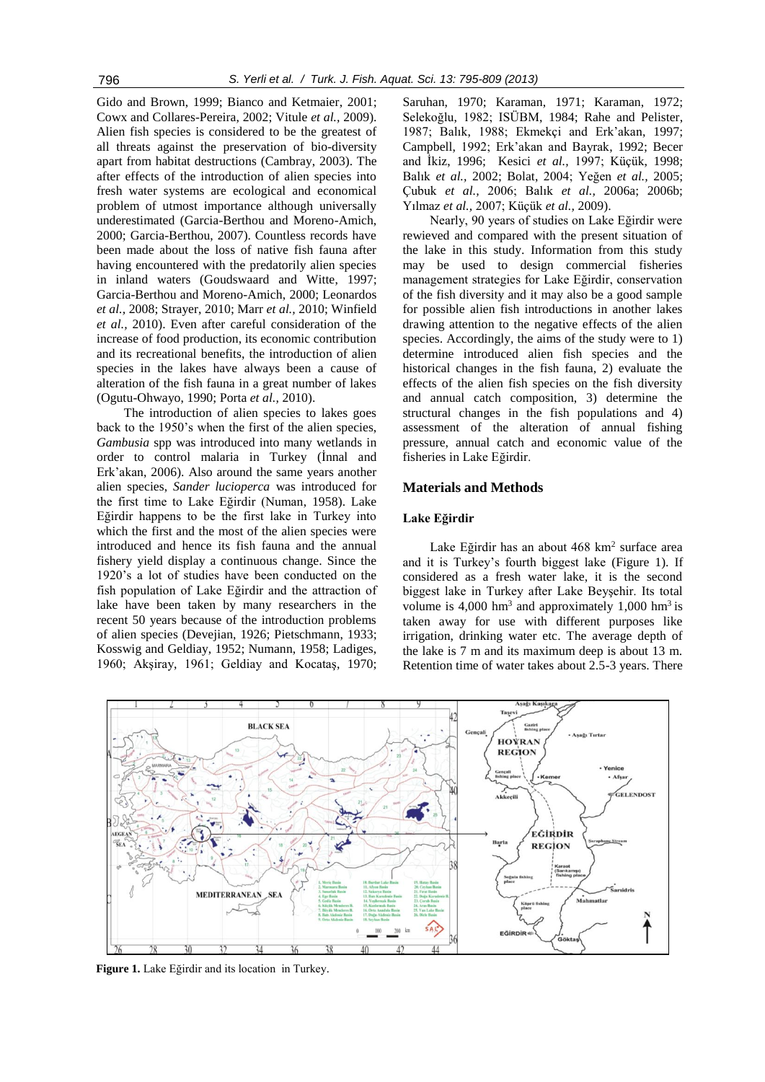Gido and Brown, 1999; Bianco and Ketmaier, 2001; Cowx and Collares-Pereira, 2002; Vitule *et al.,* 2009). Alien fish species is considered to be the greatest of all threats against the preservation of bio-diversity apart from habitat destructions (Cambray, 2003). The after effects of the introduction of alien species into fresh water systems are ecological and economical problem of utmost importance although universally underestimated (Garcia-Berthou and Moreno-Amich, 2000; Garcia-Berthou, 2007). Countless records have been made about the loss of native fish fauna after having encountered with the predatorily alien species in inland waters (Goudswaard and Witte, 1997; Garcia-Berthou and Moreno-Amich, 2000; Leonardos *et al.,* 2008; Strayer, 2010; Marr *et al.,* 2010; Winfield *et al.,* 2010). Even after careful consideration of the increase of food production, its economic contribution and its recreational benefits, the introduction of alien species in the lakes have always been a cause of alteration of the fish fauna in a great number of lakes (Ogutu-Ohwayo, 1990; Porta *et al.,* 2010).

The introduction of alien species to lakes goes back to the 1950's when the first of the alien species, *Gambusia* spp was introduced into many wetlands in order to control malaria in Turkey (İnnal and Erk'akan, 2006). Also around the same years another alien species, *Sander lucioperca* was introduced for the first time to Lake Eğirdir (Numan, 1958). Lake Eğirdir happens to be the first lake in Turkey into which the first and the most of the alien species were introduced and hence its fish fauna and the annual fishery yield display a continuous change. Since the 1920's a lot of studies have been conducted on the fish population of Lake Eğirdir and the attraction of lake have been taken by many researchers in the recent 50 years because of the introduction problems of alien species (Devejian, 1926; Pietschmann, 1933; Kosswig and Geldiay, 1952; Numann, 1958; Ladiges, 1960; Akşiray, 1961; Geldiay and Kocataş, 1970; Saruhan, 1970; Karaman, 1971; Karaman, 1972; Selekoğlu, 1982; ISÜBM, 1984; Rahe and Pelister, 1987; Balık, 1988; Ekmekçi and Erk'akan, 1997; Campbell, 1992; Erk'akan and Bayrak, 1992; Becer and İkiz, 1996; Kesici *et al.,* 1997; Küçük, 1998; Balık *et al.,* 2002; Bolat, 2004; Yeğen *et al.,* 2005; Çubuk *et al.,* 2006; Balık *et al.,* 2006a; 2006b; Yılmaz *et al.,* 2007; Küçük *et al.,* 2009).

Nearly, 90 years of studies on Lake Eğirdir were rewieved and compared with the present situation of the lake in this study. Information from this study may be used to design commercial fisheries management strategies for Lake Eğirdir, conservation of the fish diversity and it may also be a good sample for possible alien fish introductions in another lakes drawing attention to the negative effects of the alien species. Accordingly, the aims of the study were to 1) determine introduced alien fish species and the historical changes in the fish fauna, 2) evaluate the effects of the alien fish species on the fish diversity and annual catch composition, 3) determine the structural changes in the fish populations and 4) assessment of the alteration of annual fishing pressure, annual catch and economic value of the fisheries in Lake Eğirdir.

### **Materials and Methods**

#### **Lake Eğirdir**

Lake Eğirdir has an about 468 km<sup>2</sup> surface area and it is Turkey's fourth biggest lake (Figure 1). If considered as a fresh water lake, it is the second biggest lake in Turkey after Lake Beyşehir. Its total volume is  $4,000 \text{ hm}^3$  and approximately  $1,000 \text{ hm}^3$  is taken away for use with different purposes like irrigation, drinking water etc. The average depth of the lake is 7 m and its maximum deep is about 13 m. Retention time of water takes about 2.5-3 years. There



 **Figure 1.** Lake Eğirdir and its location in Turkey.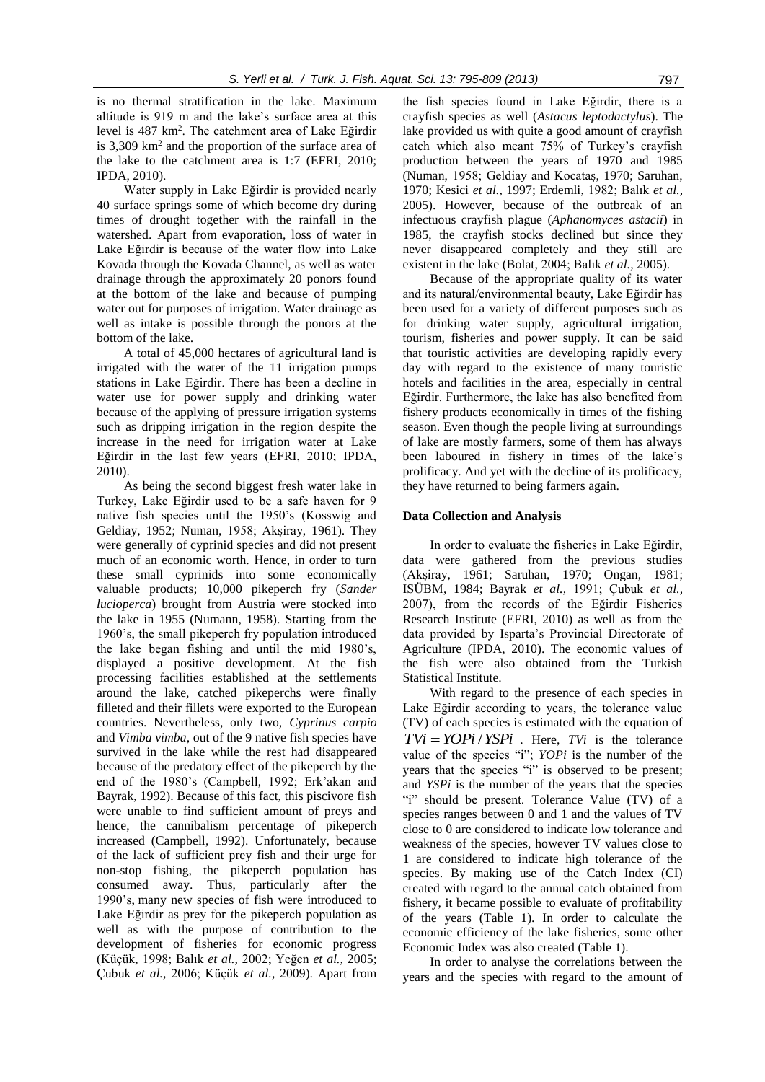is no thermal stratification in the lake. Maximum altitude is 919 m and the lake's surface area at this level is 487 km<sup>2</sup> . The catchment area of Lake Eğirdir is 3,309 km<sup>2</sup> and the proportion of the surface area of the lake to the catchment area is 1:7 (EFRI, 2010; IPDA, 2010).

Water supply in Lake Eğirdir is provided nearly 40 surface springs some of which become dry during times of drought together with the rainfall in the watershed. Apart from evaporation, loss of water in Lake Eğirdir is because of the water flow into Lake Kovada through the Kovada Channel, as well as water drainage through the approximately 20 ponors found at the bottom of the lake and because of pumping water out for purposes of irrigation. Water drainage as well as intake is possible through the ponors at the bottom of the lake.

A total of 45,000 hectares of agricultural land is irrigated with the water of the 11 irrigation pumps stations in Lake Eğirdir. There has been a decline in water use for power supply and drinking water because of the applying of pressure irrigation systems such as dripping irrigation in the region despite the increase in the need for irrigation water at Lake Eğirdir in the last few years (EFRI, 2010; IPDA, 2010).

As being the second biggest fresh water lake in Turkey, Lake Eğirdir used to be a safe haven for 9 native fish species until the 1950's (Kosswig and Geldiay, 1952; Numan, 1958; Akşiray, 1961). They were generally of cyprinid species and did not present much of an economic worth. Hence, in order to turn these small cyprinids into some economically valuable products; 10,000 pikeperch fry (*Sander lucioperca*) brought from Austria were stocked into the lake in 1955 (Numann, 1958). Starting from the 1960's, the small pikeperch fry population introduced the lake began fishing and until the mid 1980's, displayed a positive development. At the fish processing facilities established at the settlements around the lake, catched pikeperchs were finally filleted and their fillets were exported to the European countries. Nevertheless, only two, *Cyprinus carpio* and *Vimba vimba,* out of the 9 native fish species have survived in the lake while the rest had disappeared because of the predatory effect of the pikeperch by the end of the 1980's (Campbell, 1992; Erk'akan and Bayrak, 1992). Because of this fact, this piscivore fish were unable to find sufficient amount of preys and hence, the cannibalism percentage of pikeperch increased (Campbell, 1992). Unfortunately, because of the lack of sufficient prey fish and their urge for non-stop fishing, the pikeperch population has consumed away. Thus, particularly after the 1990's, many new species of fish were introduced to Lake Eğirdir as prey for the pikeperch population as well as with the purpose of contribution to the development of fisheries for economic progress (Küçük, 1998; Balık *et al.,* 2002; Yeğen *et al.,* 2005; Çubuk *et al.,* 2006; Küçük *et al.,* 2009). Apart from

the fish species found in Lake Eğirdir, there is a crayfish species as well (*Astacus leptodactylus*). The lake provided us with quite a good amount of crayfish catch which also meant 75% of Turkey's crayfish production between the years of 1970 and 1985 (Numan, 1958; Geldiay and Kocataş, 1970; Saruhan, 1970; Kesici *et al.,* 1997; Erdemli, 1982; Balık *et al.,* 2005). However, because of the outbreak of an infectuous crayfish plague (*Aphanomyces astacii*) in 1985, the crayfish stocks declined but since they never disappeared completely and they still are existent in the lake (Bolat, 2004; Balık *et al.,* 2005).

Because of the appropriate quality of its water and its natural/environmental beauty, Lake Eğirdir has been used for a variety of different purposes such as for drinking water supply, agricultural irrigation, tourism, fisheries and power supply. It can be said that touristic activities are developing rapidly every day with regard to the existence of many touristic hotels and facilities in the area, especially in central Eğirdir. Furthermore, the lake has also benefited from fishery products economically in times of the fishing season. Even though the people living at surroundings of lake are mostly farmers, some of them has always been laboured in fishery in times of the lake's prolificacy. And yet with the decline of its prolificacy, they have returned to being farmers again.

#### **Data Collection and Analysis**

In order to evaluate the fisheries in Lake Eğirdir, data were gathered from the previous studies (Akşiray, 1961; Saruhan, 1970; Ongan, 1981; ISÜBM, 1984; Bayrak *et al.,* 1991; Çubuk *et al.,* 2007), from the records of the Eğirdir Fisheries Research Institute (EFRI, 2010) as well as from the data provided by Isparta's Provincial Directorate of Agriculture (IPDA, 2010). The economic values of the fish were also obtained from the Turkish Statistical Institute.

With regard to the presence of each species in Lake Eğirdir according to years, the tolerance value (TV) of each species is estimated with the equation of  $TVi = YOPi / YSPi$ . Here, *TVi* is the tolerance value of the species "i"; *YOPi* is the number of the years that the species "i" is observed to be present; and *YSPi* is the number of the years that the species "i" should be present. Tolerance Value (TV) of a species ranges between 0 and 1 and the values of TV close to 0 are considered to indicate low tolerance and weakness of the species, however TV values close to 1 are considered to indicate high tolerance of the species. By making use of the Catch Index (CI) created with regard to the annual catch obtained from fishery, it became possible to evaluate of profitability of the years (Table 1). In order to calculate the economic efficiency of the lake fisheries, some other Economic Index was also created (Table 1).

In order to analyse the correlations between the years and the species with regard to the amount of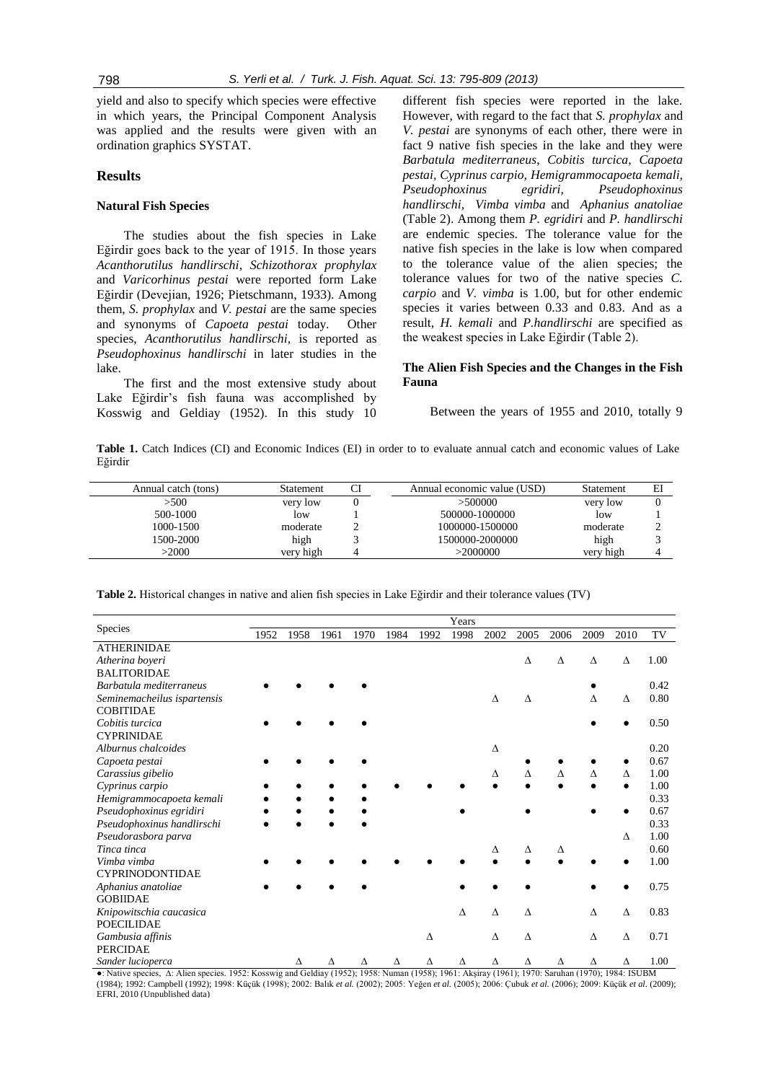yield and also to specify which species were effective in which years, the Principal Component Analysis was applied and the results were given with an ordination graphics SYSTAT.

# **Results**

# **Natural Fish Species**

The studies about the fish species in Lake Eğirdir goes back to the year of 1915. In those years *Acanthorutilus handlirschi*, *Schizothorax prophylax* and *Varicorhinus pestai* were reported form Lake Eğirdir (Devejian, 1926; Pietschmann, 1933). Among them, *S. prophylax* and *V. pestai* are the same species and synonyms of *Capoeta pestai* today. Other species, *Acanthorutilus handlirschi,* is reported as *Pseudophoxinus handlirschi* in later studies in the lake.

The first and the most extensive study about Lake Eğirdir's fish fauna was accomplished by Kosswig and Geldiay (1952). In this study 10

different fish species were reported in the lake. However, with regard to the fact that *S. prophylax* and *V. pestai* are synonyms of each other, there were in fact 9 native fish species in the lake and they were *Barbatula mediterraneus*, *Cobitis turcica, Capoeta pestai, Cyprinus carpio, Hemigrammocapoeta kemali, Pseudophoxinus egridiri, Pseudophoxinus handlirschi, Vimba vimba* and *Aphanius anatoliae*  (Table 2). Among them *P. egridiri* and *P. handlirschi* are endemic species. The tolerance value for the native fish species in the lake is low when compared to the tolerance value of the alien species; the tolerance values for two of the native species *C. carpio* and *V. vimba* is 1.00, but for other endemic species it varies between 0.33 and 0.83. And as a result, *H. kemali* and *P.handlirschi* are specified as the weakest species in Lake Eğirdir (Table 2).

# **The Alien Fish Species and the Changes in the Fish Fauna**

Between the years of 1955 and 2010, totally 9

**Table 1.** Catch Indices (CI) and Economic Indices (EI) in order to to evaluate annual catch and economic values of Lake Eğirdir

| Annual catch (tons) | Statement | Annual economic value (USD) | Statement |  |
|---------------------|-----------|-----------------------------|-----------|--|
| >500                | very low  | >500000                     | very low  |  |
| 500-1000            | low       | 500000-1000000              | low       |  |
| 1000-1500           | moderate  | 1000000-1500000             | moderate  |  |
| 1500-2000           | high      | 1500000-2000000             | high      |  |
| $>$ 2000            | verv high | >2000000                    | very high |  |
|                     |           |                             |           |  |

**Table 2.** Historical changes in native and alien fish species in Lake Eğirdir and their tolerance values (TV)

|                             |      |      |      |           |      |      | Years |      |           |      |      |          |      |
|-----------------------------|------|------|------|-----------|------|------|-------|------|-----------|------|------|----------|------|
| Species                     | 1952 | 1958 | 1961 | 1970      | 1984 | 1992 | 1998  | 2002 | 2005      | 2006 | 2009 | 2010     | TV   |
| <b>ATHERINIDAE</b>          |      |      |      |           |      |      |       |      |           |      |      |          |      |
| Atherina boyeri             |      |      |      |           |      |      |       |      | Δ         | Δ    | Δ    | Δ        | 1.00 |
| <b>BALITORIDAE</b>          |      |      |      |           |      |      |       |      |           |      |      |          |      |
| Barbatula mediterraneus     |      |      |      |           |      |      |       |      |           |      |      |          | 0.42 |
| Seminemacheilus ispartensis |      |      |      |           |      |      |       | Δ    | $\Lambda$ |      | Δ    | Δ        | 0.80 |
| <b>COBITIDAE</b>            |      |      |      |           |      |      |       |      |           |      |      |          |      |
| Cobitis turcica             |      |      |      |           |      |      |       |      |           |      |      |          | 0.50 |
| <b>CYPRINIDAE</b>           |      |      |      |           |      |      |       |      |           |      |      |          |      |
| Alburnus chalcoides         |      |      |      |           |      |      |       | Δ    |           |      |      |          | 0.20 |
| Capoeta pestai              |      |      |      |           |      |      |       |      |           |      |      |          | 0.67 |
| Carassius gibelio           |      |      |      |           |      |      |       | Δ    | Λ         | Δ    | Δ    | Δ        | 1.00 |
| Cyprinus carpio             |      |      |      |           |      |      |       |      |           |      |      |          | 1.00 |
| Hemigrammocapoeta kemali    |      |      |      |           |      |      |       |      |           |      |      |          | 0.33 |
| Pseudophoxinus egridiri     |      |      |      |           |      |      |       |      |           |      |      |          | 0.67 |
| Pseudophoxinus handlirschi  |      |      |      |           |      |      |       |      |           |      |      |          | 0.33 |
| Pseudorasbora parva         |      |      |      |           |      |      |       |      |           |      |      | Δ        | 1.00 |
| Tinca tinca                 |      |      |      |           |      |      |       | Δ    | Δ         | Δ    |      |          | 0.60 |
| Vimba vimba                 |      |      |      |           |      |      |       |      |           |      |      |          | 1.00 |
| <b>CYPRINODONTIDAE</b>      |      |      |      |           |      |      |       |      |           |      |      |          |      |
| Aphanius anatoliae          |      |      |      |           |      |      |       |      |           |      |      |          | 0.75 |
| <b>GOBIIDAE</b>             |      |      |      |           |      |      |       |      |           |      |      |          |      |
| Knipowitschia caucasica     |      |      |      |           |      |      | Δ     | Δ    | Δ         |      | Δ    | $\Delta$ | 0.83 |
| <b>POECILIDAE</b>           |      |      |      |           |      |      |       |      |           |      |      |          |      |
| Gambusia affinis            |      |      |      |           |      | Δ    |       | Δ    | Δ         |      | Δ    | Δ        | 0.71 |
| <b>PERCIDAE</b>             |      |      |      |           |      |      |       |      |           |      |      |          |      |
| Sander lucioperca           |      | Δ    | Δ    | $\Lambda$ | Δ    | Δ    | Δ     | Δ    | Δ         | Δ    | Δ    | Δ        | 1.00 |

●: Native species, ∆: Alien species. 1952: Kosswig and Geldiay (1952); 1958: Numan (1958); 1961: Akşiray (1961); 1970: Saruhan (1970); 1984: ISUBM (1984); 1992: Campbell (1992); 1998: Küçük (1998); 2002: Balık *et al.* (2002); 2005: Yeğen *et al.* (2005); 2006: Çubuk *et al.* (2006); 2009: Küçük *et al*. (2009); EFRI, 2010 (Unpublished data)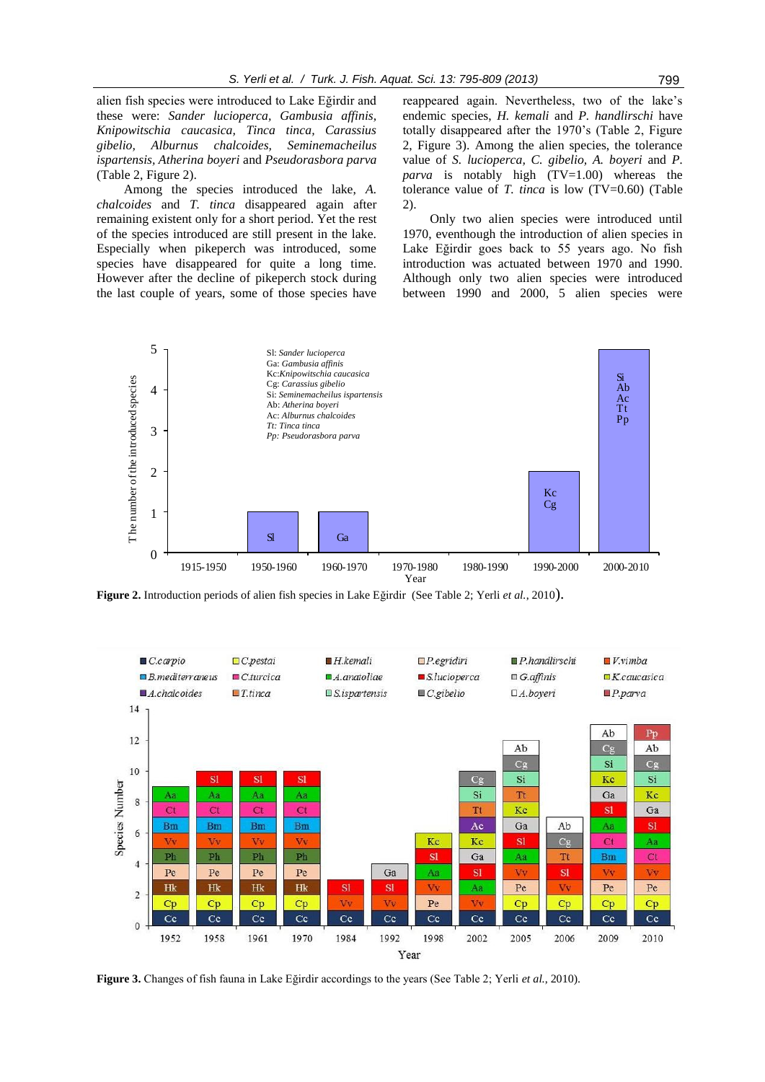alien fish species were introduced to Lake Eğirdir and these were: *Sander lucioperca, Gambusia affinis, Knipowitschia caucasica, Tinca tinca, Carassius gibelio, Alburnus chalcoides, Seminemacheilus ispartensis, Atherina boyeri* and *Pseudorasbora parva* (Table 2, Figure 2).

Among the species introduced the lake, *A. chalcoides* and *T. tinca* disappeared again after remaining existent only for a short period. Yet the rest of the species introduced are still present in the lake. Especially when pikeperch was introduced, some species have disappeared for quite a long time. However after the decline of pikeperch stock during the last couple of years, some of those species have

reappeared again. Nevertheless, two of the lake's endemic species, *H. kemali* and *P. handlirschi* have totally disappeared after the 1970's (Table 2, Figure 2, Figure 3). Among the alien species, the tolerance value of *S. lucioperca, C. gibelio, A. boyeri* and *P. parva* is notably high (TV=1.00) whereas the tolerance value of *T. tinca* is low (TV=0.60) (Table 2).

Only two alien species were introduced until 1970, eventhough the introduction of alien species in Lake Eğirdir goes back to 55 years ago. No fish introduction was actuated between 1970 and 1990. Although only two alien species were introduced between 1990 and 2000, 5 alien species were



**Figure 2.** Introduction periods of alien fish species in Lake Eğirdir (See Table 2; Yerli *et al.*, 2010).



**Figure 3.** Changes of fish fauna in Lake Eğirdir accordings to the years (See Table 2; Yerli *et al.*, 2010).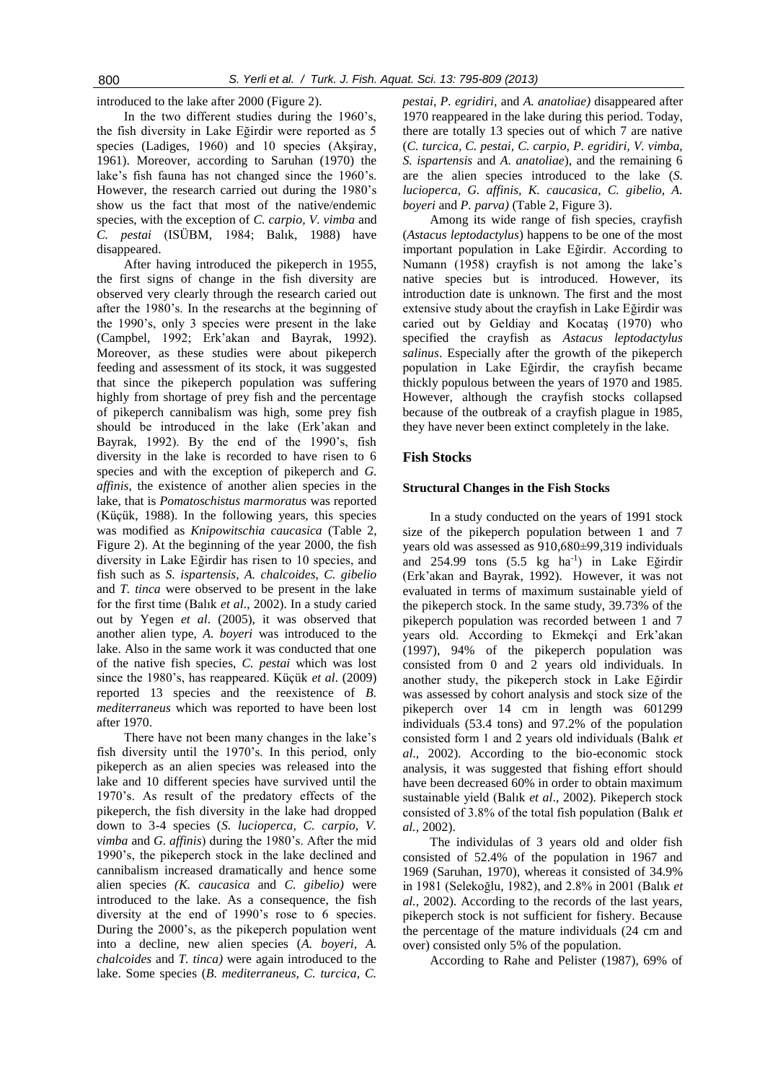introduced to the lake after 2000 (Figure 2).

In the two different studies during the 1960's, the fish diversity in Lake Eğirdir were reported as 5 species (Ladiges, 1960) and 10 species (Akşiray, 1961). Moreover, according to Saruhan (1970) the lake's fish fauna has not changed since the 1960's. However, the research carried out during the 1980's show us the fact that most of the native/endemic species, with the exception of *C. carpio, V. vimba* and *C. pestai* (ISÜBM, 1984; Balık, 1988) have disappeared.

After having introduced the pikeperch in 1955, the first signs of change in the fish diversity are observed very clearly through the research caried out after the 1980's. In the researchs at the beginning of the 1990's, only 3 species were present in the lake (Campbel, 1992; Erk'akan and Bayrak, 1992). Moreover, as these studies were about pikeperch feeding and assessment of its stock, it was suggested that since the pikeperch population was suffering highly from shortage of prey fish and the percentage of pikeperch cannibalism was high, some prey fish should be introduced in the lake (Erk'akan and Bayrak, 1992). By the end of the 1990's, fish diversity in the lake is recorded to have risen to 6 species and with the exception of pikeperch and *G. affinis*, the existence of another alien species in the lake, that is *Pomatoschistus marmoratus* was reported (Küçük, 1988). In the following years, this species was modified as *Knipowitschia caucasica* (Table 2, Figure 2). At the beginning of the year 2000, the fish diversity in Lake Eğirdir has risen to 10 species, and fish such as *S. ispartensis, A. chalcoides, C. gibelio*  and *T. tinca* were observed to be present in the lake for the first time (Balık *et al*., 2002). In a study caried out by Yegen *et al*. (2005), it was observed that another alien type, *A. boyeri* was introduced to the lake. Also in the same work it was conducted that one of the native fish species, *C. pestai* which was lost since the 1980's, has reappeared. Küçük *et al*. (2009) reported 13 species and the reexistence of *B. mediterraneus* which was reported to have been lost after 1970.

There have not been many changes in the lake's fish diversity until the 1970's. In this period, only pikeperch as an alien species was released into the lake and 10 different species have survived until the 1970's. As result of the predatory effects of the pikeperch, the fish diversity in the lake had dropped down to 3-4 species (*S. lucioperca, C. carpio, V. vimba* and *G. affinis*) during the 1980's. After the mid 1990's, the pikeperch stock in the lake declined and cannibalism increased dramatically and hence some alien species *(K. caucasica* and *C. gibelio)* were introduced to the lake. As a consequence, the fish diversity at the end of 1990's rose to 6 species. During the 2000's, as the pikeperch population went into a decline, new alien species (*A. boyeri, A. chalcoides* and *T. tinca)* were again introduced to the lake. Some species (*B. mediterraneus, C. turcica, C.* 

*pestai, P. egridiri,* and *A. anatoliae)* disappeared after 1970 reappeared in the lake during this period. Today, there are totally 13 species out of which 7 are native (*C. turcica, C. pestai, C. carpio, P. egridiri, V. vimba, S. ispartensis* and *A. anatoliae*), and the remaining 6 are the alien species introduced to the lake (*S. lucioperca, G. affinis, K. caucasica, C. gibelio, A. boyeri* and *P. parva)* (Table 2, Figure 3).

Among its wide range of fish species, crayfish (*Astacus leptodactylus*) happens to be one of the most important population in Lake Eğirdir. According to Numann (1958) crayfish is not among the lake's native species but is introduced. However, its introduction date is unknown. The first and the most extensive study about the crayfish in Lake Eğirdir was caried out by Geldiay and Kocataş (1970) who specified the crayfish as *Astacus leptodactylus salinus*. Especially after the growth of the pikeperch population in Lake Eğirdir, the crayfish became thickly populous between the years of 1970 and 1985. However, although the crayfish stocks collapsed because of the outbreak of a crayfish plague in 1985, they have never been extinct completely in the lake.

# **Fish Stocks**

#### **Structural Changes in the Fish Stocks**

In a study conducted on the years of 1991 stock size of the pikeperch population between 1 and 7 years old was assessed as 910,680±99,319 individuals and 254.99 tons (5.5 kg ha<sup>-1</sup>) in Lake Eğirdir (Erk'akan and Bayrak, 1992). However, it was not evaluated in terms of maximum sustainable yield of the pikeperch stock. In the same study, 39.73% of the pikeperch population was recorded between 1 and 7 years old. According to Ekmekçi and Erk'akan (1997), 94% of the pikeperch population was consisted from 0 and 2 years old individuals. In another study, the pikeperch stock in Lake Eğirdir was assessed by cohort analysis and stock size of the pikeperch over 14 cm in length was 601299 individuals (53.4 tons) and 97.2% of the population consisted form 1 and 2 years old individuals (Balık *et al*., 2002). According to the bio-economic stock analysis, it was suggested that fishing effort should have been decreased 60% in order to obtain maximum sustainable yield (Balık *et al*., 2002). Pikeperch stock consisted of 3.8% of the total fish population (Balık *et al.,* 2002).

The individulas of 3 years old and older fish consisted of 52.4% of the population in 1967 and 1969 (Saruhan, 1970), whereas it consisted of 34.9% in 1981 (Selekoğlu, 1982), and 2.8% in 2001 (Balık *et al.,* 2002). According to the records of the last years, pikeperch stock is not sufficient for fishery. Because the percentage of the mature individuals (24 cm and over) consisted only 5% of the population.

According to Rahe and Pelister (1987), 69% of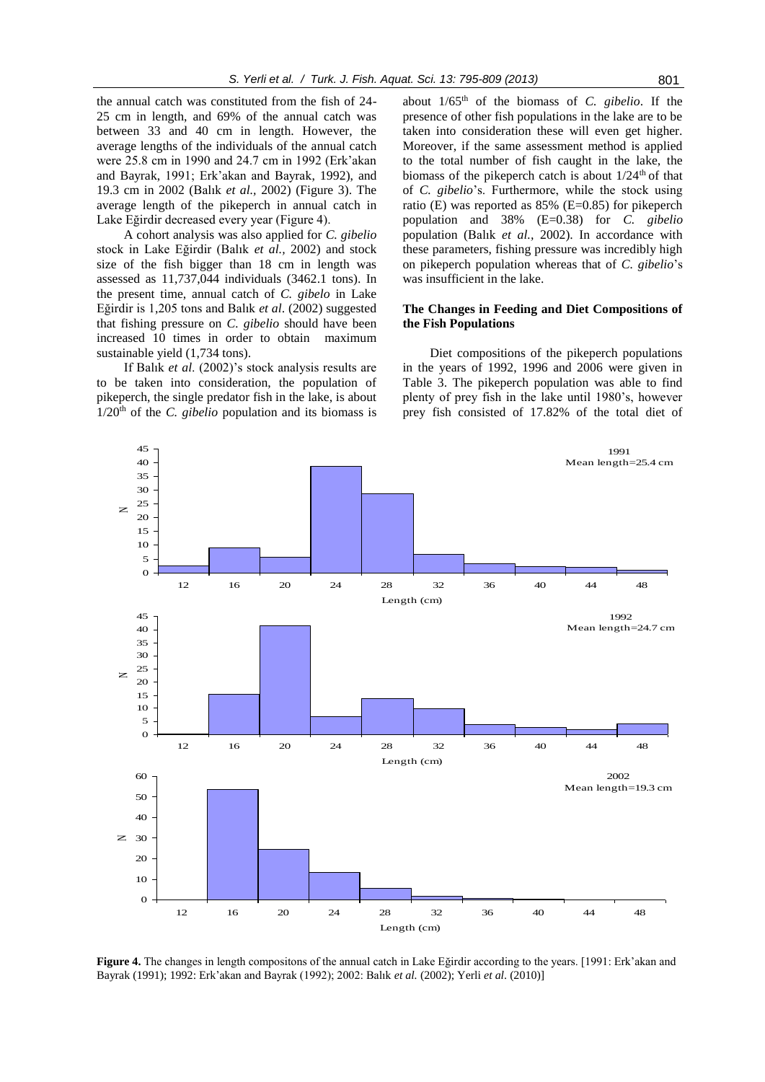the annual catch was constituted from the fish of 24- 25 cm in length, and 69% of the annual catch was between 33 and 40 cm in length. However, the average lengths of the individuals of the annual catch were 25.8 cm in 1990 and 24.7 cm in 1992 (Erk'akan and Bayrak, 1991; Erk'akan and Bayrak, 1992), and 19.3 cm in 2002 (Balık *et al.,* 2002) (Figure 3). The average length of the pikeperch in annual catch in Lake Eğirdir decreased every year (Figure 4).

A cohort analysis was also applied for *C. gibelio* stock in Lake Eğirdir (Balık *et al.,* 2002) and stock size of the fish bigger than 18 cm in length was assessed as 11,737,044 individuals (3462.1 tons). In the present time, annual catch of *C. gibelo* in Lake Eğirdir is 1,205 tons and Balık *et al*. (2002) suggested that fishing pressure on *C. gibelio* should have been increased 10 times in order to obtain maximum sustainable yield (1,734 tons).

If Balık *et al*. (2002)'s stock analysis results are to be taken into consideration, the population of pikeperch, the single predator fish in the lake, is about  $1/20<sup>th</sup>$  of the *C. gibelio* population and its biomass is

45

about 1/65th of the biomass of *C. gibelio*. If the presence of other fish populations in the lake are to be taken into consideration these will even get higher. Moreover, if the same assessment method is applied to the total number of fish caught in the lake, the biomass of the pikeperch catch is about  $1/24<sup>th</sup>$  of that of *C. gibelio*'s. Furthermore, while the stock using ratio (E) was reported as 85% (E=0.85) for pikeperch population and 38% (E=0.38) for *C. gibelio* population (Balık *et al.,* 2002). In accordance with these parameters, fishing pressure was incredibly high on pikeperch population whereas that of *C. gibelio*'s was insufficient in the lake.

### **The Changes in Feeding and Diet Compositions of the Fish Populations**

Diet compositions of the pikeperch populations in the years of 1992, 1996 and 2006 were given in Table 3. The pikeperch population was able to find plenty of prey fish in the lake until 1980's, however prey fish consisted of 17.82% of the total diet of

1991



**Figure 4.** The changes in length compositons of the annual catch in Lake Eğirdir according to the years. [1991: Erk'akan and Bayrak (1991); 1992: Erk'akan and Bayrak (1992); 2002: Balık *et al.* (2002); Yerli *et al*. (2010)]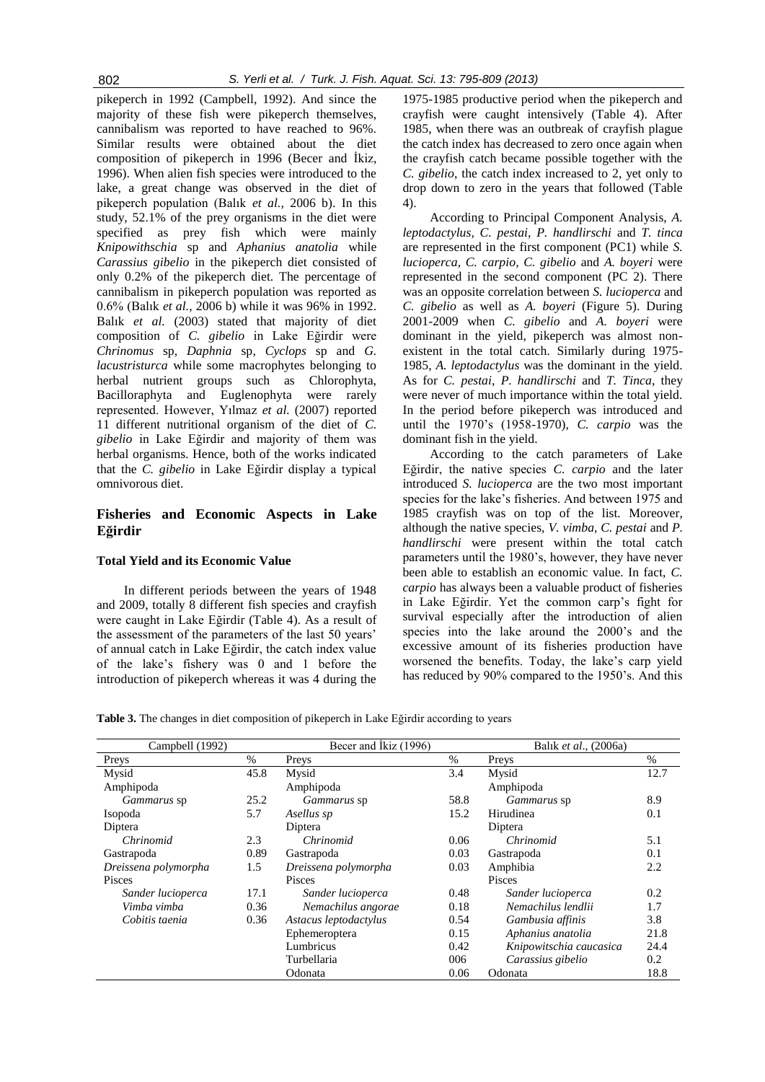pikeperch in 1992 (Campbell, 1992). And since the majority of these fish were pikeperch themselves, cannibalism was reported to have reached to 96%. Similar results were obtained about the diet composition of pikeperch in 1996 (Becer and İkiz, 1996). When alien fish species were introduced to the lake, a great change was observed in the diet of pikeperch population (Balık *et al.,* 2006 b). In this study, 52.1% of the prey organisms in the diet were specified as prey fish which were mainly *Knipowithschia* sp and *Aphanius anatolia* while *Carassius gibelio* in the pikeperch diet consisted of only 0.2% of the pikeperch diet. The percentage of cannibalism in pikeperch population was reported as 0.6% (Balık *et al.,* 2006 b) while it was 96% in 1992. Balık *et al.* (2003) stated that majority of diet composition of *C. gibelio* in Lake Eğirdir were *Chrinomus* sp*, Daphnia* sp*, Cyclops* sp and *G. lacustristurca* while some macrophytes belonging to herbal nutrient groups such as Chlorophyta, Bacilloraphyta and Euglenophyta were rarely represented. However, Yılmaz *et al.* (2007) reported 11 different nutritional organism of the diet of *C. gibelio* in Lake Eğirdir and majority of them was herbal organisms. Hence, both of the works indicated that the *C. gibelio* in Lake Eğirdir display a typical omnivorous diet.

# **Fisheries and Economic Aspects in Lake Eğirdir**

### **Total Yield and its Economic Value**

In different periods between the years of 1948 and 2009, totally 8 different fish species and crayfish were caught in Lake Eğirdir (Table 4). As a result of the assessment of the parameters of the last 50 years' of annual catch in Lake Eğirdir, the catch index value of the lake's fishery was 0 and 1 before the introduction of pikeperch whereas it was 4 during the

1975-1985 productive period when the pikeperch and crayfish were caught intensively (Table 4). After 1985, when there was an outbreak of crayfish plague the catch index has decreased to zero once again when the crayfish catch became possible together with the *C. gibelio*, the catch index increased to 2, yet only to drop down to zero in the years that followed (Table 4).

According to Principal Component Analysis, *A. leptodactylus, C. pestai, P. handlirschi* and *T. tinca* are represented in the first component (PC1) while *S. lucioperca, C. carpio, C. gibelio* and *A. boyeri* were represented in the second component (PC 2). There was an opposite correlation between *S. lucioperca* and *C. gibelio* as well as *A. boyeri* (Figure 5). During 2001-2009 when *C. gibelio* and *A. boyeri* were dominant in the yield, pikeperch was almost nonexistent in the total catch. Similarly during 1975- 1985, *A. leptodactylus* was the dominant in the yield. As for *C. pestai*, *P. handlirschi* and *T. Tinca*, they were never of much importance within the total yield. In the period before pikeperch was introduced and until the 1970's (1958-1970), *C. carpio* was the dominant fish in the yield.

According to the catch parameters of Lake Eğirdir, the native species *C. carpio* and the later introduced *S. lucioperca* are the two most important species for the lake's fisheries. And between 1975 and 1985 crayfish was on top of the list. Moreover, although the native species, *V. vimba, C. pestai* and *P. handlirschi* were present within the total catch parameters until the 1980's, however, they have never been able to establish an economic value. In fact, *C. carpio* has always been a valuable product of fisheries in Lake Eğirdir. Yet the common carp's fight for survival especially after the introduction of alien species into the lake around the 2000's and the excessive amount of its fisheries production have worsened the benefits. Today, the lake's carp yield has reduced by 90% compared to the 1950's. And this

**Table 3.** The changes in diet composition of pikeperch in Lake Eğirdir according to years

| Campbell (1992)      |      | Becer and Ikiz (1996) |      | Balık et al., (2006a)   |      |
|----------------------|------|-----------------------|------|-------------------------|------|
| Preys                | $\%$ | Preys                 | $\%$ | Preys                   | %    |
| Mysid                | 45.8 | Mysid                 | 3.4  | Mysid                   | 12.7 |
| Amphipoda            |      | Amphipoda             |      | Amphipoda               |      |
| Gammarus sp          | 25.2 | <i>Gammarus</i> sp    | 58.8 | <i>Gammarus</i> sp      | 8.9  |
| Isopoda              | 5.7  | Asellus sp            | 15.2 | Hirudinea               | 0.1  |
| Diptera              |      | Diptera               |      | Diptera                 |      |
| Chrinomid            | 2.3  | Chrinomid             | 0.06 | Chrinomid               | 5.1  |
| Gastrapoda           | 0.89 | Gastrapoda            | 0.03 | Gastrapoda              | 0.1  |
| Dreissena polymorpha | 1.5  | Dreissena polymorpha  | 0.03 | Amphibia                | 2.2  |
| Pisces               |      | <b>Pisces</b>         |      | Pisces                  |      |
| Sander lucioperca    | 17.1 | Sander lucioperca     | 0.48 | Sander lucioperca       | 0.2  |
| Vimba vimba          | 0.36 | Nemachilus angorae    | 0.18 | Nemachilus lendlii      | 1.7  |
| Cobitis taenia       | 0.36 | Astacus leptodactylus | 0.54 | Gambusia affinis        | 3.8  |
|                      |      | Ephemeroptera         | 0.15 | Aphanius anatolia       | 21.8 |
|                      |      | Lumbricus             | 0.42 | Knipowitschia caucasica | 24.4 |
|                      |      | Turbellaria           | 006  | Carassius gibelio       | 0.2  |
|                      |      | Odonata               | 0.06 | Odonata                 | 18.8 |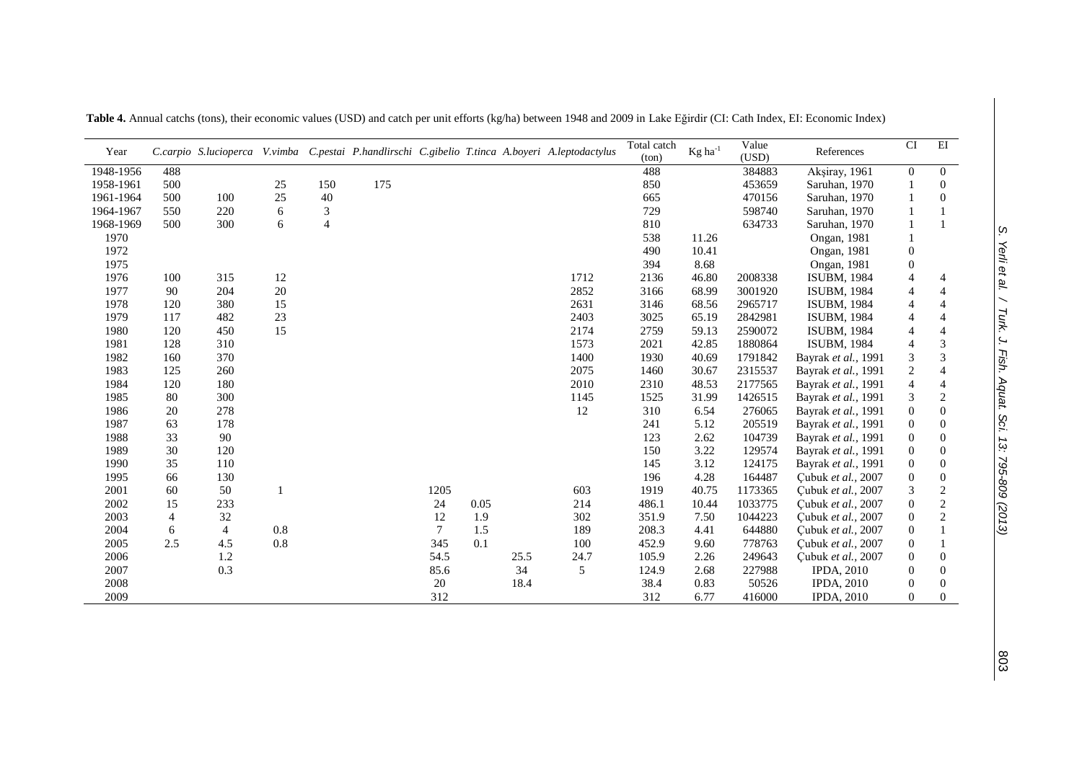| Year      |                |                |        |                             |     |        |      |      | C.carpio S.lucioperca V.vimba C.pestai P.handlirschi C.gibelio T.tinca A.boyeri A.leptodactylus | Total catch<br>(ton) | $Kg$ ha <sup>-1</sup> | Value<br>(USD) | References          | $\overline{\text{CI}}$ | EI               |
|-----------|----------------|----------------|--------|-----------------------------|-----|--------|------|------|-------------------------------------------------------------------------------------------------|----------------------|-----------------------|----------------|---------------------|------------------------|------------------|
| 1948-1956 | 488            |                |        |                             |     |        |      |      |                                                                                                 | 488                  |                       | 384883         | Akşiray, 1961       | $\mathbf{0}$           | $\overline{0}$   |
| 1958-1961 | 500            |                | 25     | 150                         | 175 |        |      |      |                                                                                                 | 850                  |                       | 453659         | Saruhan, 1970       |                        | $\Omega$         |
| 1961-1964 | 500            | 100            | 25     | 40                          |     |        |      |      |                                                                                                 | 665                  |                       | 470156         | Saruhan, 1970       |                        | $\Omega$         |
| 1964-1967 | 550            | 220            | 6      | $\ensuremath{\mathfrak{Z}}$ |     |        |      |      |                                                                                                 | 729                  |                       | 598740         | Saruhan, 1970       |                        |                  |
| 1968-1969 | 500            | 300            | 6      | $\overline{4}$              |     |        |      |      |                                                                                                 | 810                  |                       | 634733         | Saruhan, 1970       |                        |                  |
| 1970      |                |                |        |                             |     |        |      |      |                                                                                                 | 538                  | 11.26                 |                | Ongan, 1981         |                        |                  |
| 1972      |                |                |        |                             |     |        |      |      |                                                                                                 | 490                  | 10.41                 |                | <b>Ongan</b> , 1981 | $\boldsymbol{0}$       |                  |
| 1975      |                |                |        |                             |     |        |      |      |                                                                                                 | 394                  | 8.68                  |                | <b>Ongan</b> , 1981 | $\boldsymbol{0}$       |                  |
| 1976      | 100            | 315            | $12\,$ |                             |     |        |      |      | 1712                                                                                            | 2136                 | 46.80                 | 2008338        | <b>ISUBM, 1984</b>  | $\overline{4}$         | 4                |
| 1977      | 90             | 204            | $20\,$ |                             |     |        |      |      | 2852                                                                                            | 3166                 | 68.99                 | 3001920        | <b>ISUBM, 1984</b>  | $\overline{4}$         | 4                |
| 1978      | 120            | 380            | 15     |                             |     |        |      |      | 2631                                                                                            | 3146                 | 68.56                 | 2965717        | <b>ISUBM, 1984</b>  | $\overline{4}$         | $\overline{4}$   |
| 1979      | 117            | 482            | 23     |                             |     |        |      |      | 2403                                                                                            | 3025                 | 65.19                 | 2842981        | <b>ISUBM, 1984</b>  | $\overline{4}$         | 4                |
| 1980      | 120            | 450            | 15     |                             |     |        |      |      | 2174                                                                                            | 2759                 | 59.13                 | 2590072        | <b>ISUBM, 1984</b>  | $\overline{4}$         | $\overline{4}$   |
| 1981      | 128            | 310            |        |                             |     |        |      |      | 1573                                                                                            | 2021                 | 42.85                 | 1880864        | <b>ISUBM, 1984</b>  | $\overline{4}$         | 3                |
| 1982      | 160            | 370            |        |                             |     |        |      |      | 1400                                                                                            | 1930                 | 40.69                 | 1791842        | Bayrak et al., 1991 | $\mathfrak{Z}$         | 3                |
| 1983      | 125            | 260            |        |                             |     |        |      |      | 2075                                                                                            | 1460                 | 30.67                 | 2315537        | Bayrak et al., 1991 | $\sqrt{2}$             | $\overline{4}$   |
| 1984      | 120            | 180            |        |                             |     |        |      |      | 2010                                                                                            | 2310                 | 48.53                 | 2177565        | Bayrak et al., 1991 | $\overline{4}$         | $\overline{4}$   |
| 1985      | 80             | 300            |        |                             |     |        |      |      | 1145                                                                                            | 1525                 | 31.99                 | 1426515        | Bayrak et al., 1991 | $\sqrt{3}$             | $\overline{c}$   |
| 1986      | 20             | 278            |        |                             |     |        |      |      | 12                                                                                              | 310                  | 6.54                  | 276065         | Bayrak et al., 1991 | $\boldsymbol{0}$       | $\overline{0}$   |
| 1987      | 63             | 178            |        |                             |     |        |      |      |                                                                                                 | 241                  | 5.12                  | 205519         | Bayrak et al., 1991 | $\boldsymbol{0}$       | $\overline{0}$   |
| 1988      | 33             | 90             |        |                             |     |        |      |      |                                                                                                 | 123                  | 2.62                  | 104739         | Bayrak et al., 1991 | $\boldsymbol{0}$       | $\Omega$         |
| 1989      | 30             | 120            |        |                             |     |        |      |      |                                                                                                 | 150                  | 3.22                  | 129574         | Bayrak et al., 1991 | $\boldsymbol{0}$       | $\overline{0}$   |
| 1990      | 35             | 110            |        |                             |     |        |      |      |                                                                                                 | 145                  | 3.12                  | 124175         | Bayrak et al., 1991 | $\boldsymbol{0}$       | $\overline{0}$   |
| 1995      | 66             | 130            |        |                             |     |        |      |      |                                                                                                 | 196                  | 4.28                  | 164487         | Çubuk et al., 2007  | $\boldsymbol{0}$       | $\boldsymbol{0}$ |
| 2001      | 60             | 50             | 1      |                             |     | 1205   |      |      | 603                                                                                             | 1919                 | 40.75                 | 1173365        | Cubuk et al., 2007  | $\mathfrak{Z}$         | $\overline{c}$   |
| 2002      | 15             | 233            |        |                             |     | 24     | 0.05 |      | 214                                                                                             | 486.1                | 10.44                 | 1033775        | Cubuk et al., 2007  | $\boldsymbol{0}$       | $\overline{c}$   |
| 2003      | $\overline{4}$ | 32             |        |                             |     | 12     | 1.9  |      | 302                                                                                             | 351.9                | 7.50                  | 1044223        | Çubuk et al., 2007  | $\boldsymbol{0}$       | $\overline{c}$   |
| 2004      | 6              | $\overline{4}$ | 0.8    |                             |     | $\tau$ | 1.5  |      | 189                                                                                             | 208.3                | 4.41                  | 644880         | Çubuk et al., 2007  | $\boldsymbol{0}$       |                  |
| 2005      | 2.5            | 4.5            | 0.8    |                             |     | 345    | 0.1  |      | 100                                                                                             | 452.9                | 9.60                  | 778763         | Cubuk et al., 2007  | $\boldsymbol{0}$       |                  |
| 2006      |                | 1.2            |        |                             |     | 54.5   |      | 25.5 | 24.7                                                                                            | 105.9                | 2.26                  | 249643         | Cubuk et al., 2007  | $\boldsymbol{0}$       | $\overline{0}$   |
| 2007      |                | 0.3            |        |                             |     | 85.6   |      | 34   | 5                                                                                               | 124.9                | 2.68                  | 227988         | <b>IPDA, 2010</b>   | $\boldsymbol{0}$       | $\Omega$         |
| 2008      |                |                |        |                             |     | 20     |      | 18.4 |                                                                                                 | 38.4                 | 0.83                  | 50526          | <b>IPDA, 2010</b>   | $\boldsymbol{0}$       | $\overline{0}$   |
| 2009      |                |                |        |                             |     | 312    |      |      |                                                                                                 | 312                  | 6.77                  | 416000         | <b>IPDA, 2010</b>   | $\overline{0}$         | $\Omega$         |

**Table 4.** Annual catchs (tons), their economic values (USD) and catch per unit efforts (kg/ha) between 1948 and 2009 in Lake Eğirdir (CI: Cath Index, EI: Economic Index)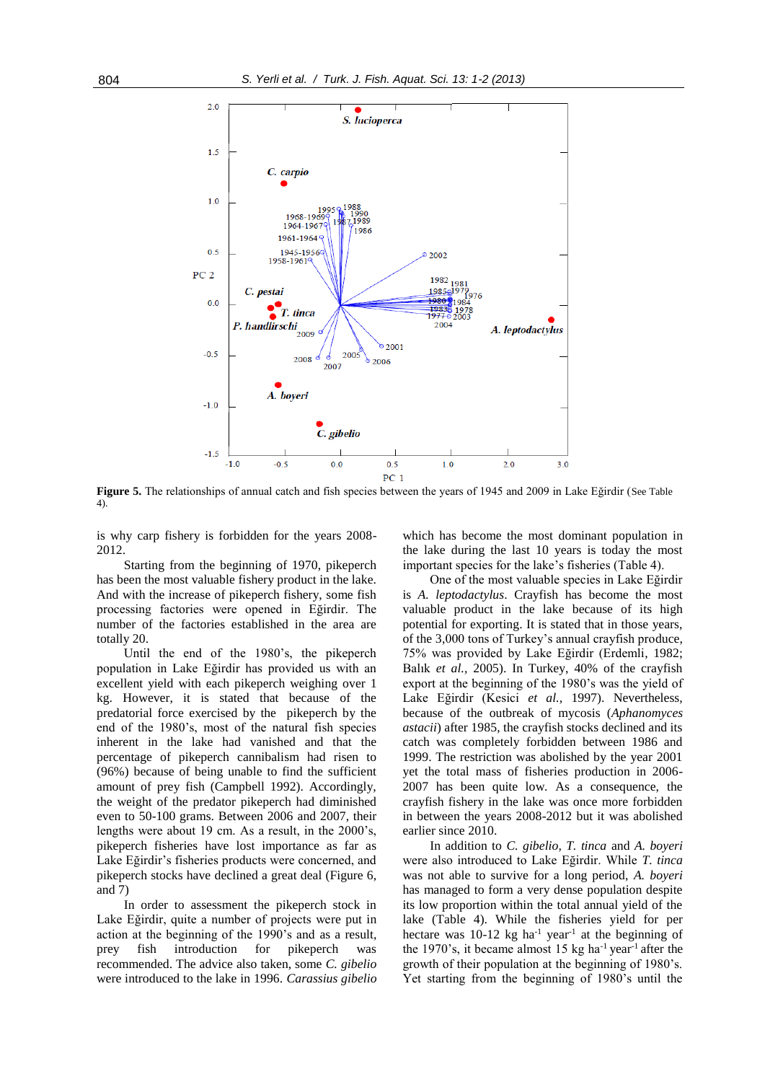

Figure 5. The relationships of annual catch and fish species between the years of 1945 and 2009 in Lake Eğirdir (See Table 4).

is why carp fishery is forbidden for the years 2008- 2012.

Starting from the beginning of 1970, pikeperch has been the most valuable fishery product in the lake. And with the increase of pikeperch fishery, some fish processing factories were opened in Eğirdir. The number of the factories established in the area are totally 20.

Until the end of the 1980's, the pikeperch population in Lake Eğirdir has provided us with an excellent yield with each pikeperch weighing over 1 kg. However, it is stated that because of the predatorial force exercised by the pikeperch by the end of the 1980's, most of the natural fish species inherent in the lake had vanished and that the percentage of pikeperch cannibalism had risen to (96%) because of being unable to find the sufficient amount of prey fish (Campbell 1992). Accordingly, the weight of the predator pikeperch had diminished even to 50-100 grams. Between 2006 and 2007, their lengths were about 19 cm. As a result, in the 2000's, pikeperch fisheries have lost importance as far as Lake Eğirdir's fisheries products were concerned, and pikeperch stocks have declined a great deal (Figure 6, and 7)

In order to assessment the pikeperch stock in Lake Eğirdir, quite a number of projects were put in action at the beginning of the 1990's and as a result, prey fish introduction for pikeperch was recommended. The advice also taken, some *C. gibelio* were introduced to the lake in 1996. *Carassius gibelio* which has become the most dominant population in the lake during the last 10 years is today the most important species for the lake's fisheries (Table 4).

One of the most valuable species in Lake Eğirdir is *A. leptodactylus*. Crayfish has become the most valuable product in the lake because of its high potential for exporting. It is stated that in those years, of the 3,000 tons of Turkey's annual crayfish produce, 75% was provided by Lake Eğirdir (Erdemli, 1982; Balık *et al.,* 2005). In Turkey, 40% of the crayfish export at the beginning of the 1980's was the yield of Lake Eğirdir (Kesici *et al.,* 1997). Nevertheless, because of the outbreak of mycosis (*Aphanomyces astacii*) after 1985, the crayfish stocks declined and its catch was completely forbidden between 1986 and 1999. The restriction was abolished by the year 2001 yet the total mass of fisheries production in 2006- 2007 has been quite low. As a consequence, the crayfish fishery in the lake was once more forbidden in between the years 2008-2012 but it was abolished earlier since 2010.

In addition to *C. gibelio, T. tinca* and *A. boyeri* were also introduced to Lake Eğirdir. While *T. tinca* was not able to survive for a long period, *A. boyeri* has managed to form a very dense population despite its low proportion within the total annual yield of the lake (Table 4). While the fisheries yield for per hectare was  $10-12$  kg ha<sup>-1</sup> year<sup>-1</sup> at the beginning of the 1970's, it became almost 15 kg ha $^{-1}$  year<sup>-1</sup> after the growth of their population at the beginning of 1980's. Yet starting from the beginning of 1980's until the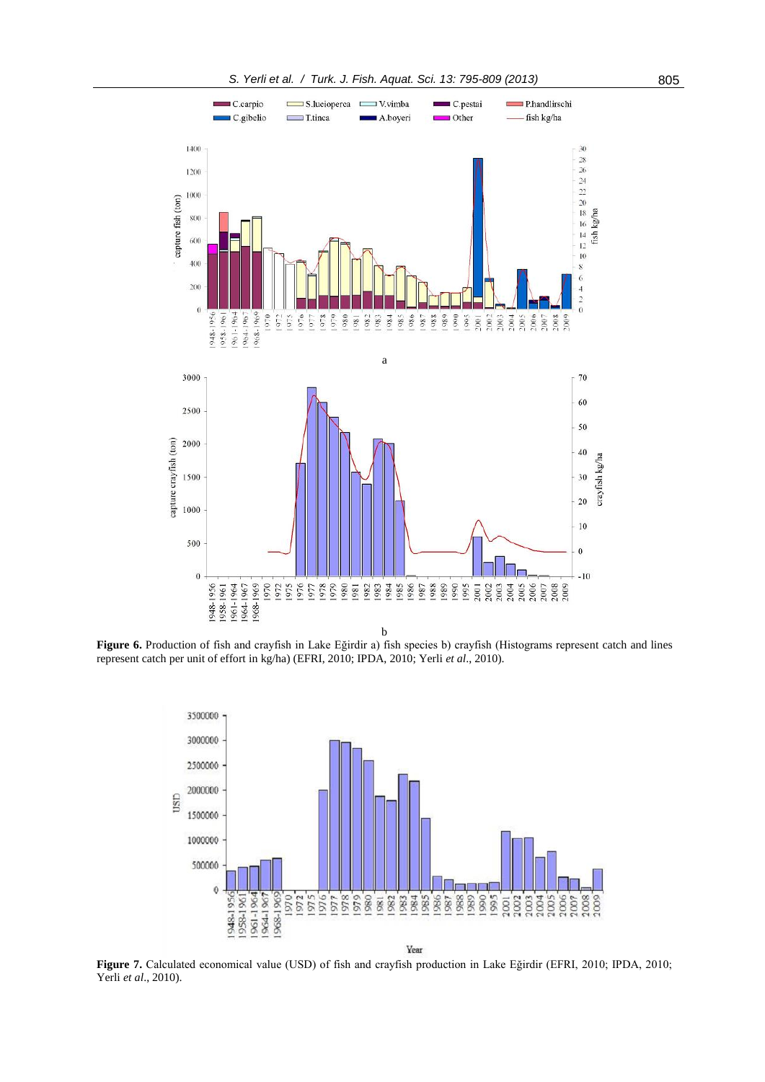

**Figure 6.** Production of fish and crayfish in Lake Eğirdir a) fish species b) crayfish (Histograms represent catch and lines represent catch per unit of effort in kg/ha) (EFRI, 2010; IPDA, 2010; Yerli *et al*., 2010).



**Figure 7.** Calculated economical value (USD) of fish and crayfish production in Lake Eğirdir (EFRI, 2010; IPDA, 2010; Yerli *et al*., 2010).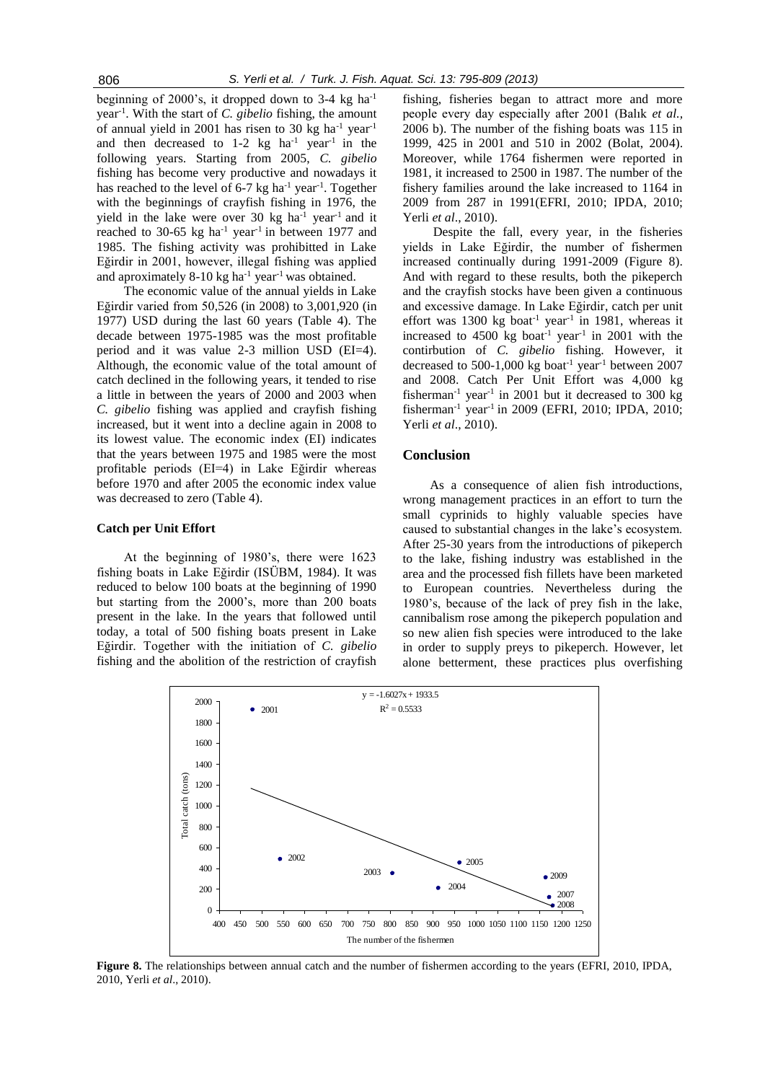beginning of 2000's, it dropped down to  $3-4$  kg ha<sup>-1</sup> year-1 . With the start of *C. gibelio* fishing, the amount of annual yield in 2001 has risen to 30 kg ha<sup>-1</sup> year<sup>-1</sup> and then decreased to  $1-2$  kg  $ha^{-1}$  year<sup>-1</sup> in the following years. Starting from 2005, *C. gibelio* fishing has become very productive and nowadays it has reached to the level of  $6-7$  kg ha<sup>-1</sup> year<sup>-1</sup>. Together with the beginnings of crayfish fishing in 1976, the yield in the lake were over 30 kg ha<sup>-1</sup> year<sup>-1</sup> and it reached to 30-65 kg ha<sup>-1</sup> year<sup>-1</sup> in between 1977 and 1985. The fishing activity was prohibitted in Lake Eğirdir in 2001, however, illegal fishing was applied and aproximately  $8-10 \text{ kg}$  ha<sup>-1</sup> year<sup>-1</sup> was obtained.

The economic value of the annual yields in Lake Eğirdir varied from 50,526 (in 2008) to 3,001,920 (in 1977) USD during the last 60 years (Table 4). The decade between 1975-1985 was the most profitable period and it was value 2-3 million USD (EI=4). Although, the economic value of the total amount of catch declined in the following years, it tended to rise a little in between the years of 2000 and 2003 when *C. gibelio* fishing was applied and crayfish fishing increased, but it went into a decline again in 2008 to its lowest value. The economic index (EI) indicates that the years between 1975 and 1985 were the most profitable periods (EI=4) in Lake Eğirdir whereas before 1970 and after 2005 the economic index value was decreased to zero (Table 4).

#### **Catch per Unit Effort**

At the beginning of 1980's, there were 1623 fishing boats in Lake Eğirdir (ISÜBM, 1984). It was reduced to below 100 boats at the beginning of 1990 but starting from the 2000's, more than 200 boats present in the lake. In the years that followed until today, a total of 500 fishing boats present in Lake Eğirdir. Together with the initiation of *C. gibelio* fishing and the abolition of the restriction of crayfish fishing, fisheries began to attract more and more people every day especially after 2001 (Balık *et al.,* 2006 b). The number of the fishing boats was 115 in 1999, 425 in 2001 and 510 in 2002 (Bolat, 2004). Moreover, while 1764 fishermen were reported in 1981, it increased to 2500 in 1987. The number of the fishery families around the lake increased to 1164 in 2009 from 287 in 1991(EFRI, 2010; IPDA, 2010; Yerli *et al*., 2010).

Despite the fall, every year, in the fisheries yields in Lake Eğirdir, the number of fishermen increased continually during 1991-2009 (Figure 8). And with regard to these results, both the pikeperch and the crayfish stocks have been given a continuous and excessive damage. In Lake Eğirdir, catch per unit effort was  $1300 \text{ kg}$  boat<sup>-1</sup> year<sup>-1</sup> in 1981, whereas it increased to  $4500 \text{ kg}$  boat<sup>-1</sup> year<sup>-1</sup> in 2001 with the contirbution of *C. gibelio* fishing. However, it decreased to 500-1,000 kg boat<sup>-1</sup> year<sup>-1</sup> between 2007 and 2008. Catch Per Unit Effort was 4,000 kg fisherman<sup>-1</sup> year<sup>-1</sup> in 2001 but it decreased to 300 kg fisherman-1 year-1 in 2009 (EFRI, 2010; IPDA, 2010; Yerli *et al*., 2010).

# **Conclusion**

As a consequence of alien fish introductions, wrong management practices in an effort to turn the small cyprinids to highly valuable species have caused to substantial changes in the lake's ecosystem. After 25-30 years from the introductions of pikeperch to the lake, fishing industry was established in the area and the processed fish fillets have been marketed to European countries. Nevertheless during the 1980's, because of the lack of prey fish in the lake, cannibalism rose among the pikeperch population and so new alien fish species were introduced to the lake in order to supply preys to pikeperch. However, let alone betterment, these practices plus overfishing



**Figure 8.** The relationships between annual catch and the number of fishermen according to the years (EFRI, 2010, IPDA, 2010, Yerli *et al*., 2010).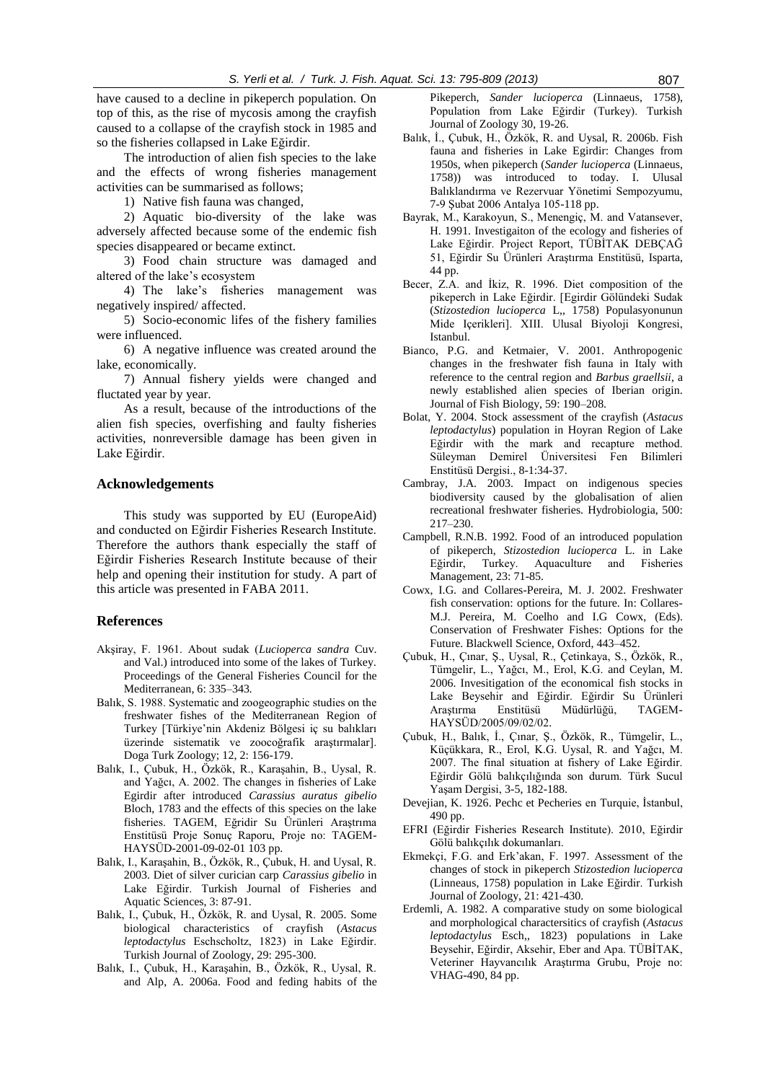have caused to a decline in pikeperch population. On top of this, as the rise of mycosis among the crayfish caused to a collapse of the crayfish stock in 1985 and so the fisheries collapsed in Lake Eğirdir.

The introduction of alien fish species to the lake and the effects of wrong fisheries management activities can be summarised as follows;

1) Native fish fauna was changed,

2) Aquatic bio-diversity of the lake was adversely affected because some of the endemic fish species disappeared or became extinct.

3) Food chain structure was damaged and altered of the lake's ecosystem

4) The lake's fisheries management was negatively inspired/ affected.

5) Socio-economic lifes of the fishery families were influenced.

6) A negative influence was created around the lake, economically.

7) Annual fishery yields were changed and fluctated year by year.

As a result, because of the introductions of the alien fish species, overfishing and faulty fisheries activities, nonreversible damage has been given in Lake Eğirdir.

# **Acknowledgements**

This study was supported by EU (EuropeAid) and conducted on Eğirdir Fisheries Research Institute. Therefore the authors thank especially the staff of Eğirdir Fisheries Research Institute because of their help and opening their institution for study. A part of this article was presented in FABA 2011.

#### **References**

- Akşiray, F. 1961. About sudak (*Lucioperca sandra* Cuv. and Val.) introduced into some of the lakes of Turkey. Proceedings of the General Fisheries Council for the Mediterranean, 6: 335*–*343*.*
- Balık, S. 1988. Systematic and zoogeographic studies on the freshwater fishes of the Mediterranean Region of Turkey [Türkiye'nin Akdeniz Bölgesi iç su balıkları üzerinde sistematik ve zoocoğrafik araştırmalar]. Doga Turk Zoology; 12, 2: 156-179.
- Balık, I., Çubuk, H., Özkök, R., Karaşahin, B., Uysal, R. and Yağcı, A. 2002. The changes in fisheries of Lake Egirdir after introduced *Carassius auratus gibelio* Bloch, 1783 and the effects of this species on the lake fisheries. TAGEM, Eğridir Su Ürünleri Araştrıma Enstitüsü Proje Sonuç Raporu, Proje no: TAGEM-HAYSÜD-2001-09-02-01 103 pp.
- Balık, I., Karaşahin, B., Özkök, R., Çubuk, H. and Uysal, R. 2003. Diet of silver curician carp *Carassius gibelio* in Lake Eğirdir. Turkish Journal of Fisheries and Aquatic Sciences, 3: 87-91.
- Balık, I., Çubuk, H., Özkök, R. and Uysal, R. 2005. Some biological characteristics of crayfish (*Astacus leptodactylus* Eschscholtz, 1823) in Lake Eğirdir. Turkish Journal of Zoology, 29: 295-300.
- Balık, I., Çubuk, H., Karaşahin, B., Özkök, R., Uysal, R. and Alp, A. 2006a. Food and feding habits of the

Pikeperch, *Sander lucioperca* (Linnaeus, 1758), Population from Lake Eğirdir (Turkey). Turkish Journal of Zoology 30, 19-26.

- Balık, İ., Çubuk, H., Özkök, R. and Uysal, R. 2006b. Fish fauna and fisheries in Lake Egirdir: Changes from 1950s, when pikeperch (*Sander lucioperca* (Linnaeus, 1758)) was introduced to today. I. Ulusal Balıklandırma ve Rezervuar Yönetimi Sempozyumu, 7-9 Şubat 2006 Antalya 105-118 pp.
- Bayrak, M., Karakoyun, S., Menengiç, M. and Vatansever, H. 1991. Investigaiton of the ecology and fisheries of Lake Eğirdir. Project Report, TÜBİTAK DEBÇAĞ 51, Eğirdir Su Ürünleri Araştırma Enstitüsü, Isparta, 44 pp.
- Becer, Z.A. and İkiz, R. 1996. Diet composition of the pikeperch in Lake Eğirdir. [Egirdir Gölündeki Sudak (*Stizostedion lucioperca* L,, 1758) Populasyonunun Mide Içerikleri]. XIII. Ulusal Biyoloji Kongresi, Istanbul.
- Bianco, P.G. and Ketmaier, V. 2001. Anthropogenic changes in the freshwater fish fauna in Italy with reference to the central region and *Barbus graellsii*, a newly established alien species of Iberian origin. Journal of Fish Biology, 59: 190–208.
- Bolat, Y. 2004. Stock assessment of the crayfish (*Astacus leptodactylus*) population in Hoyran Region of Lake Eğirdir with the mark and recapture method. Süleyman Demirel Üniversitesi Fen Bilimleri Enstitüsü Dergisi., 8-1:34-37.
- Cambray, J.A. 2003. Impact on indigenous species biodiversity caused by the globalisation of alien recreational freshwater fisheries. Hydrobiologia, 500: 217–230.
- Campbell, R.N.B. 1992. Food of an introduced population of pikeperch, *Stizostedion lucioperca* L. in Lake Eğirdir, Turkey. Aquaculture and Fisheries Management, 23: 71-85.
- Cowx, I.G. and Collares-Pereira, M. J. 2002. Freshwater fish conservation: options for the future. In: Collares-M.J. Pereira, M. Coelho and I.G Cowx, (Eds). Conservation of Freshwater Fishes: Options for the Future. Blackwell Science, Oxford, 443–452.
- Çubuk, H., Çınar, Ş., Uysal, R., Çetinkaya, S., Özkök, R., Tümgelir, L., Yağcı, M., Erol, K.G. and Ceylan, M. 2006. Invesitigation of the economical fish stocks in Lake Beysehir and Eğirdir. Eğirdir Su Ürünleri Araştırma Enstitüsü Müdürlüğü, TAGEM-HAYSÜD/2005/09/02/02.
- Çubuk, H., Balık, İ., Çınar, Ş., Özkök, R., Tümgelir, L., Küçükkara, R., Erol, K.G. Uysal, R. and Yağcı, M. 2007. The final situation at fishery of Lake Eğirdir. Eğirdir Gölü balıkçılığında son durum. Türk Sucul Yaşam Dergisi, 3-5, 182-188.
- Devejian, K. 1926. Pechc et Pecheries en Turquie, İstanbul, 490 pp.
- EFRI (Eğirdir Fisheries Research Institute). 2010, Eğirdir Gölü balıkçılık dokumanları.
- Ekmekçi, F.G. and Erk'akan, F. 1997. Assessment of the changes of stock in pikeperch *Stizostedion lucioperca* (Linneaus, 1758) population in Lake Eğirdir. Turkish Journal of Zoology, 21: 421-430.
- Erdemli, A. 1982. A comparative study on some biological and morphological charactersitics of crayfish (*Astacus leptodactylus* Esch,, 1823) populations in Lake Beysehir, Eğirdir, Aksehir, Eber and Apa. TÜBİTAK, Veteriner Hayvancılık Araştırma Grubu, Proje no: VHAG-490, 84 pp.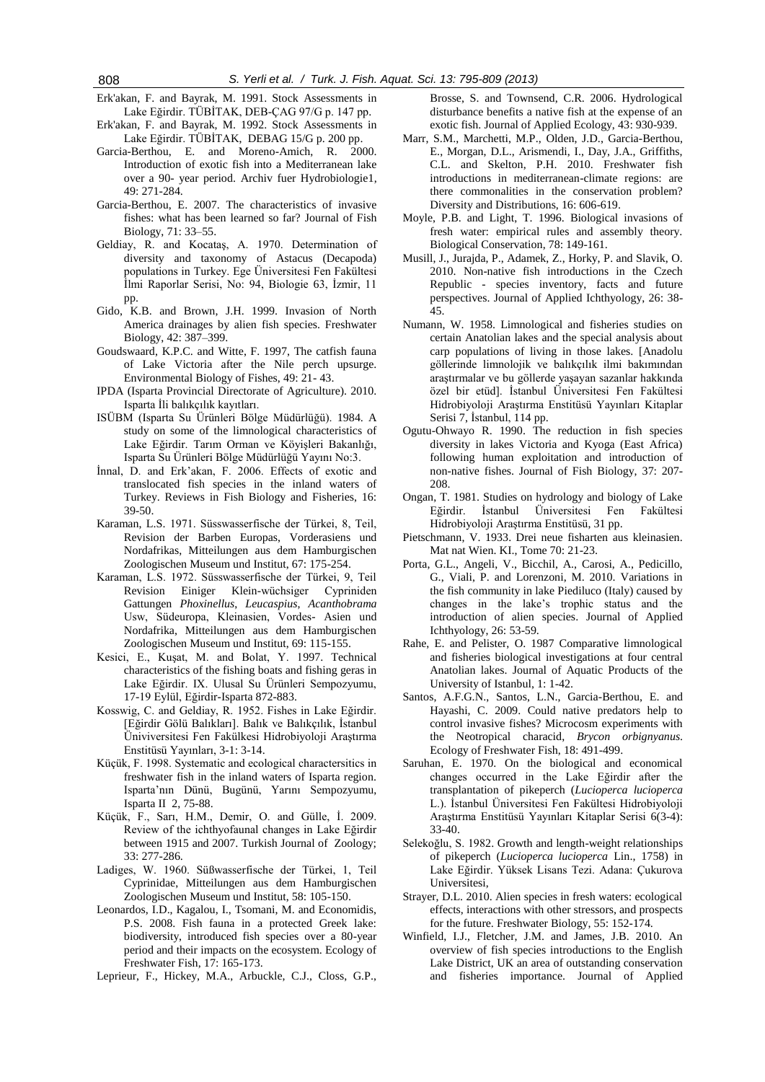Erk'akan, F. and Bayrak, M. 1991. Stock Assessments in Lake Eğirdir. TÜBİTAK, DEB-ÇAG 97/G p. 147 pp.

Erk'akan, F. and Bayrak, M. 1992. Stock Assessments in Lake Eğirdir. TÜBİTAK, DEBAG 15/G p. 200 pp.

- Garcia-Berthou, E. and Moreno-Amich, R. 2000. Introduction of exotic fish into a Mediterranean lake over a 90- year period. Archiv fuer Hydrobiologie1, 49: 271-284.
- Garcia-Berthou, E. 2007. The characteristics of invasive fishes: what has been learned so far? Journal of Fish Biology, 71: 33–55.
- Geldiay, R. and Kocataş, A. 1970. Determination of diversity and taxonomy of Astacus (Decapoda) populations in Turkey. Ege Üniversitesi Fen Fakültesi İlmi Raporlar Serisi, No: 94, Biologie 63, İzmir, 11 pp.
- Gido, K.B. and Brown, J.H. 1999. Invasion of North America drainages by alien fish species. Freshwater Biology, 42: 387–399.
- Goudswaard, K.P.C. and Witte, F. 1997, The catfish fauna of Lake Victoria after the Nile perch upsurge. Environmental Biology of Fishes, 49: 21- 43.
- IPDA (Isparta Provincial Directorate of Agriculture). 2010. Isparta İli balıkçılık kayıtları.
- ISÜBM (Isparta Su Ürünleri Bölge Müdürlüğü). 1984. A study on some of the limnological characteristics of Lake Eğirdir. Tarım Orman ve Köyişleri Bakanlığı, Isparta Su Ürünleri Bölge Müdürlüğü Yayını No:3.
- İnnal, D. and Erk'akan, F. 2006. Effects of exotic and translocated fish species in the inland waters of Turkey. Reviews in Fish Biology and Fisheries, 16: 39-50.
- Karaman, L.S. 1971. Süsswasserfische der Türkei, 8, Teil, Revision der Barben Europas, Vorderasiens und Nordafrikas, Mitteilungen aus dem Hamburgischen Zoologischen Museum und Institut, 67: 175-254.
- Karaman, L.S. 1972. Süsswasserfische der Türkei, 9, Teil Revision Einiger Klein-wüchsiger Cypriniden Gattungen *Phoxinellus*, *Leucaspius*, *Acanthobrama*  Usw, Südeuropa, Kleinasien, Vordes- Asien und Nordafrika, Mitteilungen aus dem Hamburgischen Zoologischen Museum und Institut, 69: 115-155.
- Kesici, E., Kuşat, M. and Bolat, Y. 1997. Technical characteristics of the fishing boats and fishing geras in Lake Eğirdir. IX. Ulusal Su Ürünleri Sempozyumu, 17-19 Eylül, Eğirdir-Isparta 872-883.
- Kosswig, C. and Geldiay, R. 1952. Fishes in Lake Eğirdir. [Eğirdir Gölü Balıkları]. Balık ve Balıkçılık, İstanbul Üniviversitesi Fen Fakülkesi Hidrobiyoloji Araştırma Enstitüsü Yayınları, 3-1: 3-14.
- Küçük, F. 1998. Systematic and ecological charactersitics in freshwater fish in the inland waters of Isparta region. Isparta'nın Dünü, Bugünü, Yarını Sempozyumu, Isparta II 2, 75-88.
- Küçük, F., Sarı, H.M., Demir, O. and Gülle, İ. 2009. Review of the ichthyofaunal changes in Lake Eğirdir between 1915 and 2007. Turkish Journal of Zoology; 33: 277-286.
- Ladiges, W. 1960. Süßwasserfische der Türkei, 1, Teil Cyprinidae, Mitteilungen aus dem Hamburgischen Zoologischen Museum und Institut, 58: 105-150.
- Leonardos, I.D., Kagalou, I., Tsomani, M. and Economidis, P.S. 2008. Fish fauna in a protected Greek lake: biodiversity, introduced fish species over a 80-year period and their impacts on the ecosystem. Ecology of Freshwater Fish, 17: 165-173.
- Leprieur, F., Hickey, M.A., Arbuckle, C.J., Closs, G.P.,

Brosse, S. and Townsend, C.R. 2006. Hydrological disturbance benefits a native fish at the expense of an exotic fish. Journal of Applied Ecology, 43: 930-939.

- Marr, S.M., Marchetti, M.P., Olden, J.D., Garcia-Berthou, E., Morgan, D.L., Arismendi, I., Day, J.A., Griffiths, C.L. and Skelton, P.H. 2010. Freshwater fish introductions in mediterranean-climate regions: are there commonalities in the conservation problem? Diversity and Distributions, 16: 606-619.
- Moyle, P.B. and Light, T. 1996. Biological invasions of fresh water: empirical rules and assembly theory. Biological Conservation, 78: 149-161.
- Musill, J., Jurajda, P., Adamek, Z., Horky, P. and Slavik, O. 2010. Non-native fish introductions in the Czech Republic - species inventory, facts and future perspectives. Journal of Applied Ichthyology, 26: 38- 45.
- Numann, W. 1958. Limnological and fisheries studies on certain Anatolian lakes and the special analysis about carp populations of living in those lakes. [Anadolu göllerinde limnolojik ve balıkçılık ilmi bakımından araştırmalar ve bu göllerde yaşayan sazanlar hakkında özel bir etüd]. İstanbul Üniversitesi Fen Fakültesi Hidrobiyoloji Araştırma Enstitüsü Yayınları Kitaplar Serisi 7, İstanbul, 114 pp.
- Ogutu-Ohwayo R. 1990. The reduction in fish species diversity in lakes Victoria and Kyoga (East Africa) following human exploitation and introduction of non-native fishes. Journal of Fish Biology, 37: 207- 208.
- Ongan, T. 1981. Studies on hydrology and biology of Lake Eğirdir. İstanbul Üniversitesi Fen Fakültesi Hidrobiyoloji Araştırma Enstitüsü, 31 pp.
- Pietschmann, V. 1933. Drei neue fisharten aus kleinasien. Mat nat Wien. KI., Tome 70: 21-23.
- Porta, G.L., Angeli, V., Bicchil, A., Carosi, A., Pedicillo, G., Viali, P. and Lorenzoni, M. 2010. Variations in the fish community in lake Piediluco (Italy) caused by changes in the lake's trophic status and the introduction of alien species. Journal of Applied Ichthyology, 26: 53-59.
- Rahe, E. and Pelister, O. 1987 Comparative limnological and fisheries biological investigations at four central Anatolian lakes. Journal of Aquatic Products of the University of Istanbul, 1: 1-42.
- Santos, A.F.G.N., Santos, L.N., Garcia-Berthou, E. and Hayashi, C. 2009. Could native predators help to control invasive fishes? Microcosm experiments with the Neotropical characid, *Brycon orbignyanus*. Ecology of Freshwater Fish, 18: 491-499.
- Saruhan, E. 1970. On the biological and economical changes occurred in the Lake Eğirdir after the transplantation of pikeperch (*Lucioperca lucioperca* L.). İstanbul Üniversitesi Fen Fakültesi Hidrobiyoloji Araştırma Enstitüsü Yayınları Kitaplar Serisi 6(3-4): 33-40.
- Selekoğlu, S. 1982. Growth and length-weight relationships of pikeperch (*Lucioperca lucioperca* Lin., 1758) in Lake Eğirdir. Yüksek Lisans Tezi. Adana: Çukurova Universitesi,
- Strayer, D.L. 2010. Alien species in fresh waters: ecological effects, interactions with other stressors, and prospects for the future. Freshwater Biology, 55: 152-174.
- Winfield, I.J., Fletcher, J.M. and James, J.B. 2010. An overview of fish species introductions to the English Lake District, UK an area of outstanding conservation and fisheries importance. Journal of Applied